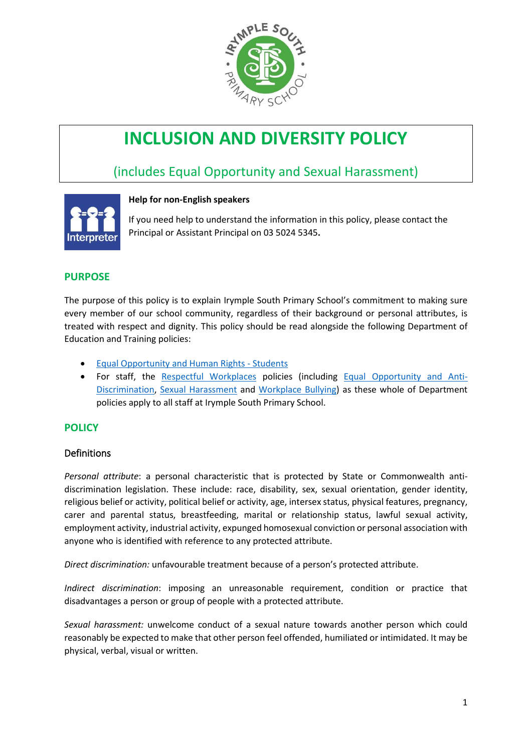

# **INCLUSION AND DIVERSITY POLICY**

# (includes Equal Opportunity and Sexual Harassment)



# **Help for non-English speakers**

If you need help to understand the information in this policy, please contact the Principal or Assistant Principal on 03 5024 5345.

# **PURPOSE**

The purpose of this policy is to explain Irymple South Primary School's commitment to making sure every member of our school community, regardless of their background or personal attributes, is treated with respect and dignity. This policy should be read alongside the following Department of Education and Training policies:

- [Equal Opportunity and Human Rights -](https://www2.education.vic.gov.au/pal/equal-opportunity-human-rights-students/policy) Students
- For staff, the [Respectful Workplaces](https://www2.education.vic.gov.au/pal/respectful-workplaces/overview) policies (including [Equal Opportunity and Anti-](https://www2.education.vic.gov.au/pal/equal-opportunity/overview)[Discrimination,](https://www2.education.vic.gov.au/pal/equal-opportunity/overview) [Sexual Harassment](https://www2.education.vic.gov.au/pal/sexual-harassment/overview) and [Workplace Bullying\)](https://www2.education.vic.gov.au/pal/workplace-bullying/policy) as these whole of Department policies apply to all staff at Irymple South Primary School.

# **POLICY**

# Definitions

*Personal attribute*: a personal characteristic that is protected by State or Commonwealth antidiscrimination legislation. These include: race, disability, sex, sexual orientation, gender identity, religious belief or activity, political belief or activity, age, intersex status, physical features, pregnancy, carer and parental status, breastfeeding, marital or relationship status, lawful sexual activity, employment activity, industrial activity, expunged homosexual conviction or personal association with anyone who is identified with reference to any protected attribute.

*Direct discrimination:* unfavourable treatment because of a person's protected attribute.

*Indirect discrimination*: imposing an unreasonable requirement, condition or practice that disadvantages a person or group of people with a protected attribute.

*Sexual harassment:* unwelcome conduct of a sexual nature towards another person which could reasonably be expected to make that other person feel offended, humiliated or intimidated. It may be physical, verbal, visual or written.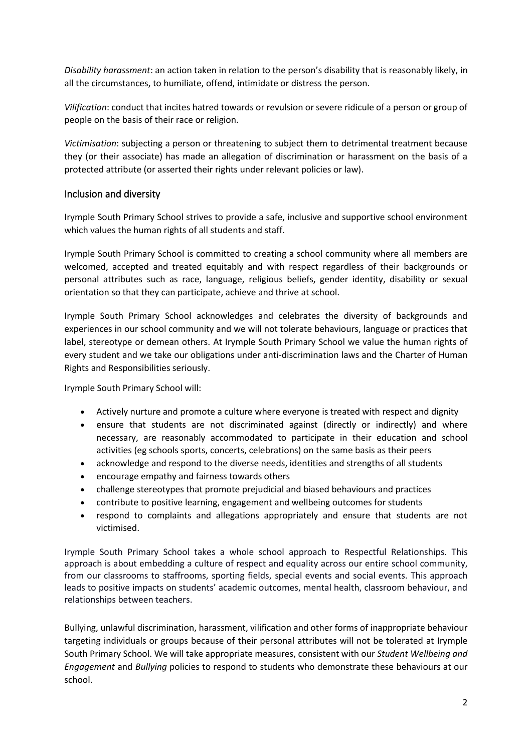*Disability harassment*: an action taken in relation to the person's disability that is reasonably likely, in all the circumstances, to humiliate, offend, intimidate or distress the person.

*Vilification*: conduct that incites hatred towards or revulsion or severe ridicule of a person or group of people on the basis of their race or religion.

*Victimisation*: subjecting a person or threatening to subject them to detrimental treatment because they (or their associate) has made an allegation of discrimination or harassment on the basis of a protected attribute (or asserted their rights under relevant policies or law).

#### Inclusion and diversity

Irymple South Primary School strives to provide a safe, inclusive and supportive school environment which values the human rights of all students and staff.

Irymple South Primary School is committed to creating a school community where all members are welcomed, accepted and treated equitably and with respect regardless of their backgrounds or personal attributes such as race, language, religious beliefs, gender identity, disability or sexual orientation so that they can participate, achieve and thrive at school.

Irymple South Primary School acknowledges and celebrates the diversity of backgrounds and experiences in our school community and we will not tolerate behaviours, language or practices that label, stereotype or demean others. At Irymple South Primary School we value the human rights of every student and we take our obligations under anti-discrimination laws and the Charter of Human Rights and Responsibilities seriously.

Irymple South Primary School will:

- Actively nurture and promote a culture where everyone is treated with respect and dignity
- ensure that students are not discriminated against (directly or indirectly) and where necessary, are reasonably accommodated to participate in their education and school activities (eg schools sports, concerts, celebrations) on the same basis as their peers
- acknowledge and respond to the diverse needs, identities and strengths of all students
- encourage empathy and fairness towards others
- challenge stereotypes that promote prejudicial and biased behaviours and practices
- contribute to positive learning, engagement and wellbeing outcomes for students
- respond to complaints and allegations appropriately and ensure that students are not victimised.

Irymple South Primary School takes a whole school approach to Respectful Relationships. This approach is about embedding a culture of respect and equality across our entire school community, from our classrooms to staffrooms, sporting fields, special events and social events. This approach leads to positive impacts on students' academic outcomes, mental health, classroom behaviour, and relationships between teachers.

Bullying, unlawful discrimination, harassment, vilification and other forms of inappropriate behaviour targeting individuals or groups because of their personal attributes will not be tolerated at Irymple South Primary School. We will take appropriate measures, consistent with our *Student Wellbeing and Engagement* and *Bullying* policies to respond to students who demonstrate these behaviours at our school.